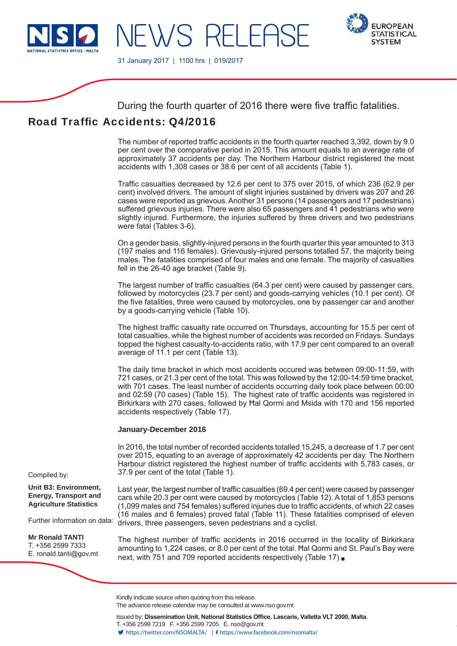

NEWS RELEAS

31 January 2017 | 1100 hrs | 019/2017



During the fourth quarter of 2016 there were five traffic fatalities.

# Road Traffic Accidents: Q4/2016

The number of reported traffic accidents in the fourth quarter reached 3,392, down by 9.0 per cent over the comparative period in 2015. This amount equals to an average rate of approximately 37 accidents per day. The Northern Harbour district registered the most accidents with 1,308 cases or 38.6 per cent of all accidents (Table 1).

Traffic casualties decreased by 12.6 per cent to 375 over 2015, of which 236 (62.9 per cent) involved drivers. The amount of slight injuries sustained by drivers was 207 and 26 cases were reported as grievous. Another 31 persons (14 passengers and 17 pedestrians) suffered grievous injuries. There were also 65 passengers and 41 pedestrians who were slightly injured. Furthermore, the injuries suffered by three drivers and two pedestrians were fatal (Tables 3-6).

On a gender basis, slightly-injured persons in the fourth quarter this year amounted to 313 (197 males and 116 females). Grievously-injured persons totalled 57, the majority being males. The fatalities comprised of four males and one female. The majority of casualties fell in the 26-40 age bracket (Table 9).

The largest number of traffic casualties (64.3 per cent) were caused by passenger cars, followed by motorcycles (23.7 per cent) and goods-carrying vehicles (10.1 per cent). Of the five fatalities, three were caused by motorcycles, one by passenger car and another by a goods-carrying vehicle (Table 10).

The highest traffic casualty rate occurred on Thursdays, accounting for 15.5 per cent of total casualties, while the highest number of accidents was recorded on Fridays. Sundays topped the highest casualty-to-accidents ratio, with 17.9 per cent compared to an overall average of 11.1 per cent (Table 13).

The daily time bracket in which most accidents occured was between 09:00-11:59, with 721 cases, or 21.3 per cent of the total. This was followed by the 12:00-14:59 time bracket, with 701 cases. The least number of accidents occurring daily took place between 00:00 and 02:59 (70 cases) (Table 15). The highest rate of traffic accidents was registered in Birkirkara with 270 cases, followed by Ħal Qormi and Msida with 170 and 156 reported accidents respectively (Table 17).

## **January-December 2016**

In 2016, the total number of recorded accidents totalled 15,245, a decrease of 1.7 per cent over 2015, equating to an average of approximately 42 accidents per day. The Northern Harbour district registered the highest number of traffic accidents with 5,783 cases, or 37.9 per cent of the total (Table 1).

Last year, the largest number of traffic casualties (69.4 per cent) were caused by passenger cars while 20.3 per cent were caused by motorcycles (Table 12). A total of 1,853 persons (1,099 males and 754 females) suffered injuries due to traffi c accidents, of which 22 cases (16 males and 6 females) proved fatal (Table 11). These fatalities comprised of eleven drivers, three passengers, seven pedestrians and a cyclist.

The highest number of traffic accidents in 2016 occurred in the locality of Birkirkara amounting to 1,224 cases, or 8.0 per cent of the total. Ħal Qormi and St. Paul's Bay were next, with 751 and 709 reported accidents respectively (Table 17)

Kindly indicate source when quoting from this release. The advance release calendar may be consulted at www.nso.gov.mt

Issued by: Dissemination Unit, National Statistics Office, Lascaris, Valletta VLT 2000, Malta.

T. +356 2599 7219 F. +356 2599 7205 E. nso@gov.mt

https://twitter.com/NSOMALTA/ https://www.facebook.com/nsomalta/

Compiled by:

**Unit B3: Environment, Energy, Transport and Agriculture Statistics**

Further information on data:

**Mr Ronald TANTI** T. +356 2599 7333 E. ronald.tanti@gov.mt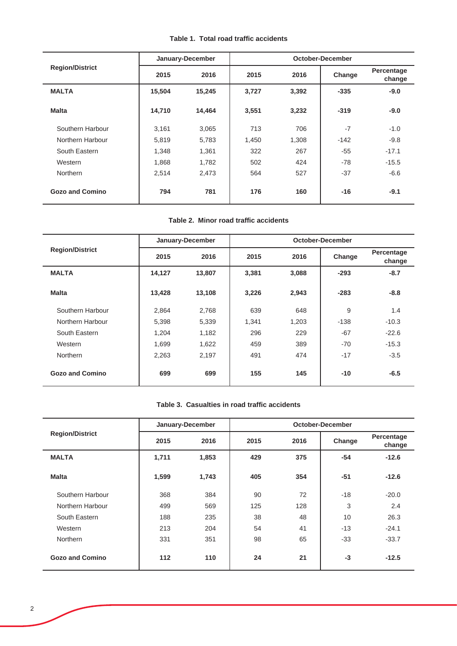|                        |        | January-December | October-December |       |        |                      |  |
|------------------------|--------|------------------|------------------|-------|--------|----------------------|--|
| <b>Region/District</b> | 2015   | 2016             | 2015             | 2016  | Change | Percentage<br>change |  |
| <b>MALTA</b>           | 15,504 | 15,245           | 3,727            | 3,392 | $-335$ | $-9.0$               |  |
| <b>Malta</b>           | 14,710 | 14,464           | 3,551            | 3,232 | $-319$ | $-9.0$               |  |
| Southern Harbour       | 3,161  | 3,065            | 713              | 706   | $-7$   | $-1.0$               |  |
| Northern Harbour       | 5,819  | 5,783            | 1,450            | 1,308 | $-142$ | $-9.8$               |  |
| South Eastern          | 1,348  | 1,361            | 322              | 267   | $-55$  | $-17.1$              |  |
| Western                | 1,868  | 1,782            | 502              | 424   | $-78$  | $-15.5$              |  |
| <b>Northern</b>        | 2,514  | 2,473            | 564              | 527   | $-37$  | $-6.6$               |  |
| <b>Gozo and Comino</b> | 794    | 781              | 176              | 160   | $-16$  | $-9.1$               |  |

### **Table 2. Minor road traffic accidents**

|                        |        | January-December | October-December |       |        |                      |  |  |
|------------------------|--------|------------------|------------------|-------|--------|----------------------|--|--|
| <b>Region/District</b> | 2015   | 2016             | 2015             | 2016  | Change | Percentage<br>change |  |  |
| <b>MALTA</b>           | 14,127 | 13,807           | 3,381            | 3,088 | $-293$ | $-8.7$               |  |  |
| <b>Malta</b>           | 13,428 | 13,108           | 3,226            | 2,943 | $-283$ | $-8.8$               |  |  |
| Southern Harbour       | 2,864  | 2,768            | 639              | 648   | 9      | 1.4                  |  |  |
| Northern Harbour       | 5,398  | 5,339            | 1.341            | 1,203 | $-138$ | $-10.3$              |  |  |
| South Eastern          | 1,204  | 1,182            | 296              | 229   | $-67$  | $-22.6$              |  |  |
| Western                | 1.699  | 1,622            | 459              | 389   | $-70$  | $-15.3$              |  |  |
| <b>Northern</b>        | 2,263  | 2,197            | 491              | 474   | $-17$  | $-3.5$               |  |  |
| <b>Gozo and Comino</b> | 699    | 699              | 155              | 145   | $-10$  | $-6.5$               |  |  |

#### **Table 3. Casualties in road traffic accidents**

|                        |       | January-December |      |      |        |                      |
|------------------------|-------|------------------|------|------|--------|----------------------|
| <b>Region/District</b> | 2015  | 2016             | 2015 | 2016 | Change | Percentage<br>change |
| <b>MALTA</b>           | 1,711 | 1,853            | 429  | 375  | $-54$  | $-12.6$              |
| <b>Malta</b>           | 1,599 | 1,743            | 405  | 354  | $-51$  | $-12.6$              |
| Southern Harbour       | 368   | 384              | 90   | 72   | $-18$  | $-20.0$              |
| Northern Harbour       | 499   | 569              | 125  | 128  | 3      | 2.4                  |
| South Eastern          | 188   | 235              | 38   | 48   | 10     | 26.3                 |
| Western                | 213   | 204              | 54   | 41   | $-13$  | $-24.1$              |
| <b>Northern</b>        | 331   | 351              | 98   | 65   | $-33$  | $-33.7$              |
| <b>Gozo and Comino</b> | 112   | 110              | 24   | 21   | $-3$   | $-12.5$              |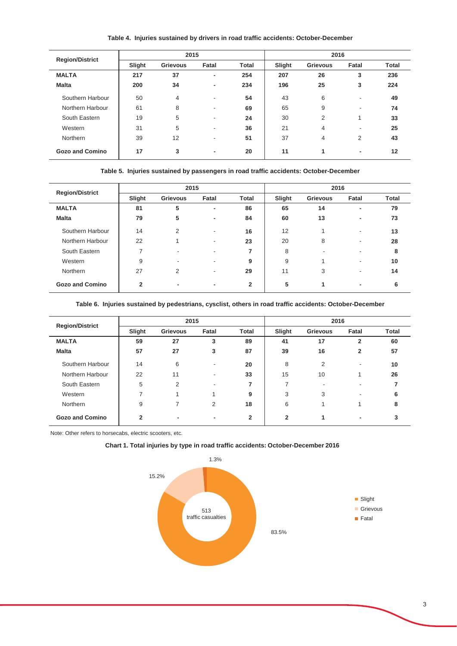|  |  | Table 4. Injuries sustained by drivers in road traffic accidents: October-December |  |
|--|--|------------------------------------------------------------------------------------|--|
|--|--|------------------------------------------------------------------------------------|--|

| <b>Region/District</b> |        | 2015            |                          |              |        | 2016            |       |       |  |
|------------------------|--------|-----------------|--------------------------|--------------|--------|-----------------|-------|-------|--|
|                        | Slight | <b>Grievous</b> | Fatal                    | <b>Total</b> | Slight | <b>Grievous</b> | Fatal | Total |  |
| <b>MALTA</b>           | 217    | 37              | ٠                        | 254          | 207    | 26              | 3     | 236   |  |
| <b>Malta</b>           | 200    | 34              | ٠                        | 234          | 196    | 25              | 3     | 224   |  |
| Southern Harbour       | 50     | 4               | $\overline{\phantom{a}}$ | 54           | 43     | 6               | ٠     | 49    |  |
| Northern Harbour       | 61     | 8               | $\overline{\phantom{a}}$ | 69           | 65     | 9               | ٠     | 74    |  |
| South Eastern          | 19     | 5               | ٠                        | 24           | 30     | 2               | 1     | 33    |  |
| Western                | 31     | 5               | $\overline{\phantom{a}}$ | 36           | 21     | 4               | ٠     | 25    |  |
| Northern               | 39     | 12              | $\overline{\phantom{a}}$ | 51           | 37     | 4               | 2     | 43    |  |
| <b>Gozo and Comino</b> | 17     | 3               | ۰                        | 20           | 11     | 1               | ٠     | 12    |  |

|  |  |  |  |  | Table 5. Injuries sustained by passengers in road traffic accidents: October-December |
|--|--|--|--|--|---------------------------------------------------------------------------------------|
|--|--|--|--|--|---------------------------------------------------------------------------------------|

| <b>Region/District</b> |              | 2015            |                |                | 2016   |                         |       |       |
|------------------------|--------------|-----------------|----------------|----------------|--------|-------------------------|-------|-------|
|                        | Slight       | <b>Grievous</b> | Fatal          | <b>Total</b>   | Slight | Grievous                | Fatal | Total |
| <b>MALTA</b>           | 81           | 5               | ٠              | 86             | 65     | 14                      | ۰     | 79    |
| <b>Malta</b>           | 79           | 5               | ۰              | 84             | 60     | 13                      | ۰     | 73    |
| Southern Harbour       | 14           | $\overline{2}$  | $\blacksquare$ | 16             | 12     | $\overline{\mathbf{A}}$ | ٠     | 13    |
| Northern Harbour       | 22           | 4               | ٠              | 23             | 20     | 8                       | ٠     | 28    |
| South Eastern          | 7            | ۰               | ٠              | 7              | 8      |                         | ٠     | 8     |
| Western                | 9            |                 | ٠              | 9              | 9      | $\overline{\mathbf{A}}$ | ۰     | 10    |
| Northern               | 27           | $\overline{2}$  | ٠              | 29             | 11     | 3                       | ۰     | 14    |
| <b>Gozo and Comino</b> | $\mathbf{2}$ |                 | ٠              | $\overline{2}$ | 5      | 1                       | ۰     | 6     |

**Table 6. Injuries sustained by pedestrians, cysclist, others in road traffic accidents: October-December**

|                        |                | 2015            |                |                |              | 2016            |                |       |  |
|------------------------|----------------|-----------------|----------------|----------------|--------------|-----------------|----------------|-------|--|
| <b>Region/District</b> | Slight         | <b>Grievous</b> | Fatal          | <b>Total</b>   | Slight       | <b>Grievous</b> | Fatal          | Total |  |
| <b>MALTA</b>           | 59             | 27              | 3              | 89             | 41           | 17              | $\overline{2}$ | 60    |  |
| <b>Malta</b>           | 57             | 27              | 3              | 87             | 39           | 16              | 2              | 57    |  |
| Southern Harbour       | 14             | 6               | ٠              | 20             | 8            | $\overline{2}$  | ٠              | 10    |  |
| Northern Harbour       | 22             | 11              | $\blacksquare$ | 33             | 15           | 10              | 1              | 26    |  |
| South Eastern          | 5              | 2               | ٠              | 7              | ⇁            | ۰               | ۰              |       |  |
| Western                | $\overline{ }$ |                 |                | 9              | 3            | 3               | ۰              | 6     |  |
| Northern               | 9              | 7               | $\overline{2}$ | 18             | 6            | 4               | 4              | 8     |  |
| <b>Gozo and Comino</b> | $\mathbf{2}$   | ۰               |                | $\overline{2}$ | $\mathbf{2}$ | 1               | ۰              | 3     |  |

Note: Other refers to horsecabs, electric scooters, etc.





3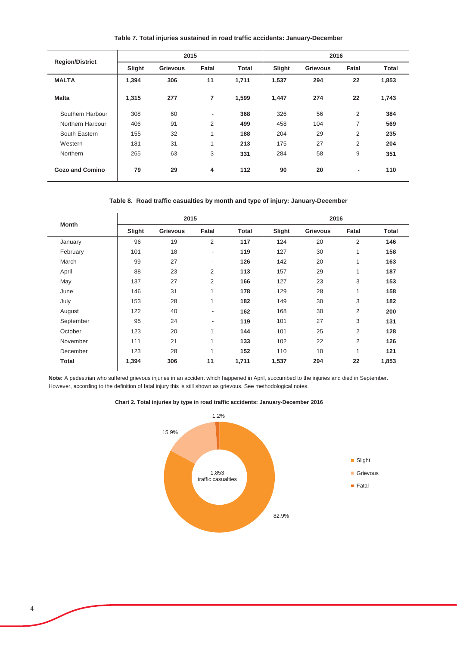| <b>Region/District</b> |        | 2015            |                          |       |        | 2016            |                |              |
|------------------------|--------|-----------------|--------------------------|-------|--------|-----------------|----------------|--------------|
|                        | Slight | <b>Grievous</b> | Fatal                    | Total | Slight | <b>Grievous</b> | Fatal          | <b>Total</b> |
| <b>MALTA</b>           | 1,394  | 306             | 11                       | 1,711 | 1,537  | 294             | 22             | 1,853        |
| <b>Malta</b>           | 1,315  | 277             | 7                        | 1,599 | 1,447  | 274             | 22             | 1,743        |
| Southern Harbour       | 308    | 60              | $\overline{\phantom{0}}$ | 368   | 326    | 56              | $\overline{2}$ | 384          |
| Northern Harbour       | 406    | 91              | 2                        | 499   | 458    | 104             | 7              | 569          |
| South Eastern          | 155    | 32              | 1                        | 188   | 204    | 29              | $\overline{2}$ | 235          |
| Western                | 181    | 31              | 4                        | 213   | 175    | 27              | 2              | 204          |
| <b>Northern</b>        | 265    | 63              | 3                        | 331   | 284    | 58              | 9              | 351          |
| <b>Gozo and Comino</b> | 79     | 29              | 4                        | $112$ | 90     | 20              | ٠              | 110          |

**Table 7. Total injuries sustained in road traffic accidents: January-December**

#### **Table 8. Road traffic casualties by month and type of injury: January-December**

| <b>Month</b> |        | 2015            |                          |              | 2016   |                 |                |              |
|--------------|--------|-----------------|--------------------------|--------------|--------|-----------------|----------------|--------------|
|              | Slight | <b>Grievous</b> | Fatal                    | <b>Total</b> | Slight | <b>Grievous</b> | Fatal          | <b>Total</b> |
| January      | 96     | 19              | 2                        | 117          | 124    | 20              | 2              | 146          |
| February     | 101    | 18              | $\overline{\phantom{a}}$ | 119          | 127    | 30              | $\mathbf{1}$   | 158          |
| March        | 99     | 27              | $\overline{\phantom{a}}$ | 126          | 142    | 20              | $\mathbf{1}$   | 163          |
| April        | 88     | 23              | $\overline{2}$           | 113          | 157    | 29              | $\mathbf{1}$   | 187          |
| May          | 137    | 27              | 2                        | 166          | 127    | 23              | 3              | 153          |
| June         | 146    | 31              | 1                        | 178          | 129    | 28              | $\mathbf{1}$   | 158          |
| July         | 153    | 28              | $\mathbf{1}$             | 182          | 149    | 30              | 3              | 182          |
| August       | 122    | 40              | ٠                        | 162          | 168    | 30              | $\overline{2}$ | 200          |
| September    | 95     | 24              | $\overline{\phantom{a}}$ | 119          | 101    | 27              | 3              | 131          |
| October      | 123    | 20              | 1                        | 144          | 101    | 25              | $\overline{2}$ | 128          |
| November     | 111    | 21              | $\mathbf{1}$             | 133          | 102    | 22              | 2              | 126          |
| December     | 123    | 28              | $\mathbf{1}$             | 152          | 110    | 10              | $\mathbf{1}$   | 121          |
| <b>Total</b> | 1,394  | 306             | 11                       | 1,711        | 1,537  | 294             | 22             | 1,853        |

**Note:** A pedestrian who suffered grievous injuries in an accident which happened in April, succumbed to the injuries and died in September. However, according to the definition of fatal injury this is still shown as grievous. See methodological notes.



**Chart 2. Total injuries by type in road traffic accidents: January-December 2016**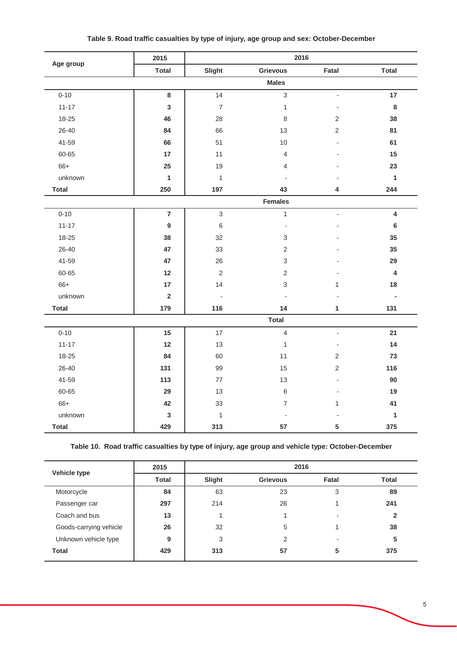|              | 2015             |                          | 2016                      |                          |                         |
|--------------|------------------|--------------------------|---------------------------|--------------------------|-------------------------|
| Age group    | <b>Total</b>     | Slight                   | <b>Grievous</b>           | Fatal                    | <b>Total</b>            |
|              |                  |                          | <b>Males</b>              |                          |                         |
| $0 - 10$     | 8                | 14                       | $\mathfrak{S}$            | ÷,                       | 17                      |
| $11 - 17$    | $\mathbf{3}$     | $\overline{7}$           | $\mathbf{1}$              | $\overline{a}$           | 8                       |
| 18-25        | 46               | 28                       | $\,8\,$                   | $\overline{2}$           | 38                      |
| 26-40        | 84               | 66                       | 13                        | $\overline{2}$           | 81                      |
| 41-59        | 66               | 51                       | 10                        | $\overline{\phantom{a}}$ | 61                      |
| 60-65        | 17               | 11                       | $\overline{\mathcal{L}}$  |                          | 15                      |
| $66+$        | 25               | 19                       | $\overline{4}$            |                          | 23                      |
| unknown      | $\mathbf{1}$     | $\mathbf{1}$             | $\overline{a}$            |                          | 1                       |
| <b>Total</b> | 250              | 197                      | 43                        | 4                        | 244                     |
|              |                  |                          | <b>Females</b>            |                          |                         |
| $0 - 10$     | $\overline{7}$   | $\mathfrak{Z}$           | $\mathbf{1}$              | $\overline{\phantom{a}}$ | $\overline{\mathbf{4}}$ |
| $11 - 17$    | $\boldsymbol{9}$ | $\,6\,$                  | ÷,                        |                          | $\bf 6$                 |
| 18-25        | 38               | 32                       | $\ensuremath{\mathsf{3}}$ |                          | 35                      |
| $26 - 40$    | 47               | 33                       | $\overline{2}$            |                          | 35                      |
| 41-59        | 47               | 26                       | 3                         |                          | 29                      |
| 60-65        | 12               | $\overline{2}$           | $\overline{2}$            |                          | $\overline{\mathbf{4}}$ |
| $66+$        | 17               | 14                       | $\mathfrak{Z}$            | $\mathbf{1}$             | 18                      |
| unknown      | $\mathbf 2$      | $\overline{\phantom{a}}$ |                           |                          | $\blacksquare$          |
| <b>Total</b> | 179              | 116                      | 14                        | 1                        | 131                     |
|              |                  |                          | <b>Total</b>              |                          |                         |
| $0 - 10$     | 15               | 17                       | $\overline{4}$            | $\overline{\phantom{a}}$ | 21                      |
| $11 - 17$    | 12               | 13                       | $\mathbf{1}$              | $\blacksquare$           | 14                      |
| 18-25        | 84               | 60                       | 11                        | $\overline{2}$           | 73                      |
| 26-40        | 131              | 99                       | 15                        | $\overline{2}$           | 116                     |
| 41-59        | 113              | 77                       | 13                        | $\overline{a}$           | 90                      |
| 60-65        | 29               | 13                       | $\,6$                     | $\overline{a}$           | 19                      |
| $66+$        | 42               | 33                       | $\boldsymbol{7}$          | $\mathbf{1}$             | 41                      |
| unknown      | $\mathbf 3$      | $\mathbf{1}$             | $\overline{\phantom{a}}$  |                          | $\mathbf{1}$            |
| <b>Total</b> | 429              | 313                      | 57                        | $5\phantom{.0}$          | 375                     |

# **Table 9. Road traffic casualties by type of injury, age group and sex: October-December**

**Table 10. Road traffic casualties by type of injury, age group and vehicle type: October-December**

| Vehicle type           | 2015  |        | 2016            |                          |              |
|------------------------|-------|--------|-----------------|--------------------------|--------------|
|                        | Total | Slight | <b>Grievous</b> | Fatal                    | <b>Total</b> |
| Motorcycle             | 84    | 63     | 23              | 3                        | 89           |
| Passenger car          | 297   | 214    | 26              |                          | 241          |
| Coach and bus          | 13    |        |                 |                          | 2            |
| Goods-carrying vehicle | 26    | 32     | 5               |                          | 38           |
| Unknown vehicle type   | 9     | 3      | $\overline{2}$  | $\overline{\phantom{0}}$ | 5            |
| <b>Total</b>           | 429   | 313    | 57              | 5                        | 375          |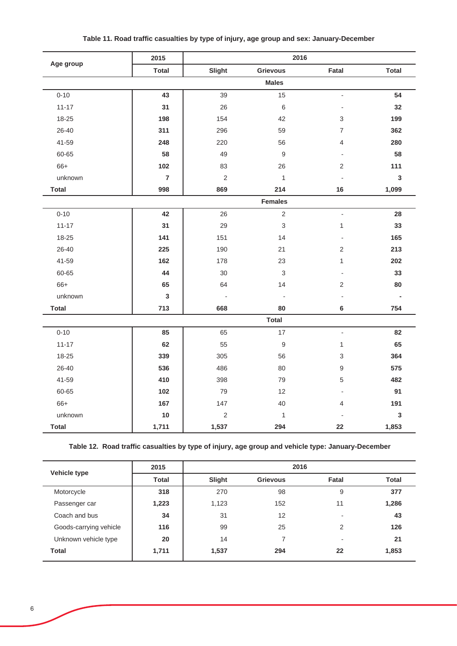|              | 2015           |                          | 2016             |                          |                |
|--------------|----------------|--------------------------|------------------|--------------------------|----------------|
| Age group    | <b>Total</b>   | Slight                   | <b>Grievous</b>  | Fatal                    | <b>Total</b>   |
|              |                |                          | <b>Males</b>     |                          |                |
| $0 - 10$     | 43             | 39                       | 15               |                          | 54             |
| $11 - 17$    | 31             | 26                       | $\,6\,$          | ÷                        | 32             |
| 18-25        | 198            | 154                      | 42               | 3                        | 199            |
| 26-40        | 311            | 296                      | 59               | $\overline{7}$           | 362            |
| 41-59        | 248            | 220                      | 56               | 4                        | 280            |
| 60-65        | 58             | 49                       | $\boldsymbol{9}$ | $\overline{a}$           | 58             |
| $66+$        | 102            | 83                       | 26               | 2                        | 111            |
| unknown      | $\overline{7}$ | $\overline{2}$           | $\mathbf{1}$     |                          | $\mathbf{3}$   |
| <b>Total</b> | 998            | 869                      | 214              | 16                       | 1,099          |
|              |                |                          | <b>Females</b>   |                          |                |
| $0 - 10$     | 42             | 26                       | $\sqrt{2}$       | $\overline{\phantom{a}}$ | 28             |
| $11 - 17$    | 31             | 29                       | $\sqrt{3}$       | $\mathbf{1}$             | 33             |
| 18-25        | 141            | 151                      | 14               | $\overline{\phantom{a}}$ | 165            |
| 26-40        | 225            | 190                      | 21               | $\overline{2}$           | 213            |
| 41-59        | 162            | 178                      | 23               | $\mathbf{1}$             | 202            |
| 60-65        | 44             | 30                       | $\mathfrak{S}$   |                          | 33             |
| 66+          | 65             | 64                       | 14               | $\sqrt{2}$               | 80             |
| unknown      | $\mathbf 3$    | $\overline{\phantom{a}}$ | ÷.               |                          | $\blacksquare$ |
| <b>Total</b> | 713            | 668                      | 80               | 6                        | 754            |
|              |                |                          | <b>Total</b>     |                          |                |
| $0 - 10$     | 85             | 65                       | 17               | $\overline{\phantom{a}}$ | 82             |
| $11 - 17$    | 62             | 55                       | $\boldsymbol{9}$ | $\mathbf{1}$             | 65             |
| 18-25        | 339            | 305                      | 56               | $\sqrt{3}$               | 364            |
| 26-40        | 536            | 486                      | 80               | $\boldsymbol{9}$         | 575            |
| 41-59        | 410            | 398                      | 79               | 5                        | 482            |
| 60-65        | 102            | 79                       | 12               | $\overline{a}$           | 91             |
| $66+$        | 167            | 147                      | 40               | $\overline{4}$           | 191            |
| unknown      | $10$           | $\sqrt{2}$               | $\mathbf{1}$     |                          | $\mathbf 3$    |
| <b>Total</b> | 1,711          | 1,537                    | 294              | 22                       | 1,853          |

# **Table 11. Road traffic casualties by type of injury, age group and sex: January-December**

**Table 12. Road traffic casualties by type of injury, age group and vehicle type: January-December**

|                        | 2015         |        | 2016            |       |              |
|------------------------|--------------|--------|-----------------|-------|--------------|
| Vehicle type           | <b>Total</b> | Slight | <b>Grievous</b> | Fatal | <b>Total</b> |
| Motorcycle             | 318          | 270    | 98              | 9     | 377          |
| Passenger car          | 1,223        | 1,123  | 152             | 11    | 1,286        |
| Coach and bus          | 34           | 31     | 12              |       | 43           |
| Goods-carrying vehicle | 116          | 99     | 25              | 2     | 126          |
| Unknown vehicle type   | 20           | 14     | 7               | ٠     | 21           |
| <b>Total</b>           | 1,711        | 1,537  | 294             | 22    | 1,853        |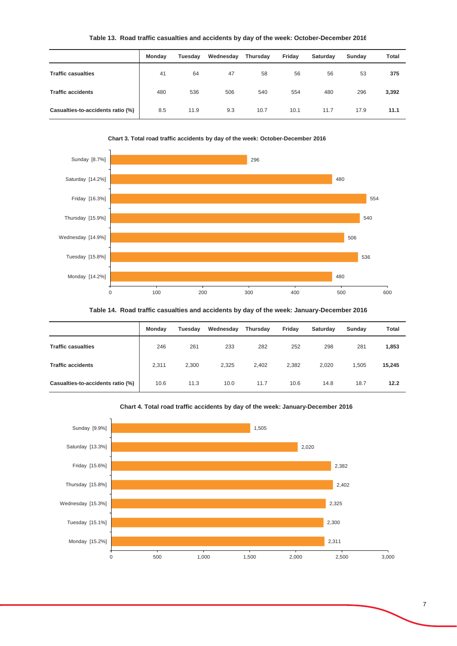| Table 13. Road traffic casualties and accidents by day of the week: October-December 2016 |  |
|-------------------------------------------------------------------------------------------|--|
|-------------------------------------------------------------------------------------------|--|

|                                   | Monday | Tuesday | Wednesday | Thursday | Friday | Saturday | Sunday | Total |
|-----------------------------------|--------|---------|-----------|----------|--------|----------|--------|-------|
| <b>Traffic casualties</b>         | 41     | 64      | 47        | 58       | 56     | 56       | 53     | 375   |
| <b>Traffic accidents</b>          | 480    | 536     | 506       | 540      | 554    | 480      | 296    | 3,392 |
| Casualties-to-accidents ratio (%) | 8.5    | 11.9    | 9.3       | 10.7     | 10.1   | 11.7     | 17.9   | 11.1  |





**Table 14. Road traffic casualties and accidents by day of the week: January-December 2016**

|                                   | Mondav | Tuesday | Wednesday | Thursday | Friday | Saturday | Sundav | Total  |
|-----------------------------------|--------|---------|-----------|----------|--------|----------|--------|--------|
| <b>Traffic casualties</b>         | 246    | 261     | 233       | 282      | 252    | 298      | 281    | 1,853  |
| <b>Traffic accidents</b>          | 2,311  | 2,300   | 2,325     | 2.402    | 2,382  | 2,020    | 1,505  | 15,245 |
| Casualties-to-accidents ratio (%) | 10.6   | 11.3    | 10.0      | 11.7     | 10.6   | 14.8     | 18.7   | 12.2   |



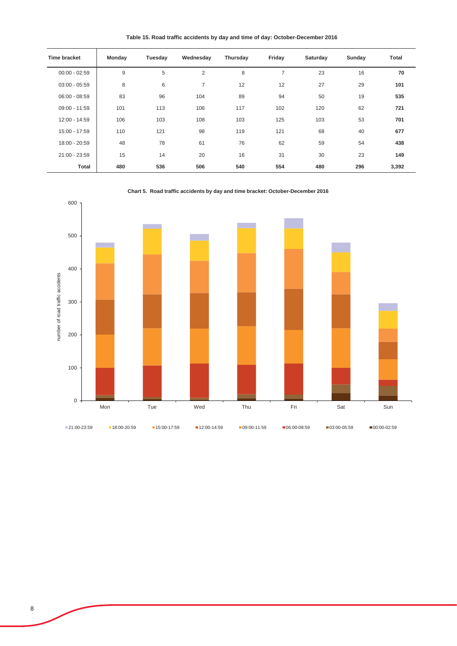**Table 15. Road traffic accidents by day and time of day: October-December 2016**

| <b>Time bracket</b> | Monday | Tuesday | Wednesday      | Thursday | Friday         | Saturday | Sunday | <b>Total</b> |
|---------------------|--------|---------|----------------|----------|----------------|----------|--------|--------------|
| $00:00 - 02:59$     | $9\,$  | 5       | $\overline{2}$ | 8        | $\overline{7}$ | 23       | 16     | 70           |
| $03:00 - 05:59$     | 8      | 6       | $\overline{7}$ | 12       | 12             | 27       | 29     | 101          |
| $06:00 - 08:59$     | 83     | 96      | 104            | 89       | 94             | 50       | 19     | 535          |
| $09:00 - 11:59$     | 101    | 113     | 106            | 117      | 102            | 120      | 62     | 721          |
| 12:00 - 14:59       | 106    | 103     | 108            | 103      | 125            | 103      | 53     | 701          |
| 15:00 - 17:59       | 110    | 121     | 98             | 119      | 121            | 68       | 40     | 677          |
| 18:00 - 20:59       | 48     | 78      | 61             | 76       | 62             | 59       | 54     | 438          |
| 21:00 - 23:59       | 15     | 14      | 20             | 16       | 31             | 30       | 23     | 149          |
| <b>Total</b>        | 480    | 536     | 506            | 540      | 554            | 480      | 296    | 3,392        |



**Chart 5. Road traffic accidents by day and time bracket: October-December 2016**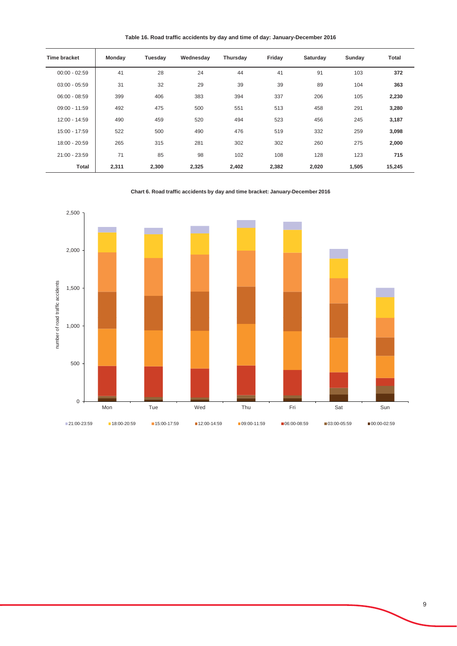**Table 16. Road traffic accidents by day and time of day: January-December 2016**

| <b>Time bracket</b> | Monday | Tuesday | Wednesday | Thursday | Friday | Saturday | Sunday | <b>Total</b> |
|---------------------|--------|---------|-----------|----------|--------|----------|--------|--------------|
| $00:00 - 02:59$     | 41     | 28      | 24        | 44       | 41     | 91       | 103    | 372          |
| $03:00 - 05:59$     | 31     | 32      | 29        | 39       | 39     | 89       | 104    | 363          |
| $06:00 - 08:59$     | 399    | 406     | 383       | 394      | 337    | 206      | 105    | 2,230        |
| $09:00 - 11:59$     | 492    | 475     | 500       | 551      | 513    | 458      | 291    | 3,280        |
| 12:00 - 14:59       | 490    | 459     | 520       | 494      | 523    | 456      | 245    | 3,187        |
| 15:00 - 17:59       | 522    | 500     | 490       | 476      | 519    | 332      | 259    | 3,098        |
| 18:00 - 20:59       | 265    | 315     | 281       | 302      | 302    | 260      | 275    | 2,000        |
| 21:00 - 23:59       | 71     | 85      | 98        | 102      | 108    | 128      | 123    | 715          |
| <b>Total</b>        | 2,311  | 2,300   | 2,325     | 2,402    | 2,382  | 2,020    | 1,505  | 15,245       |

**Chart 6. Road traffic accidents by day and time bracket: January-December 2016**

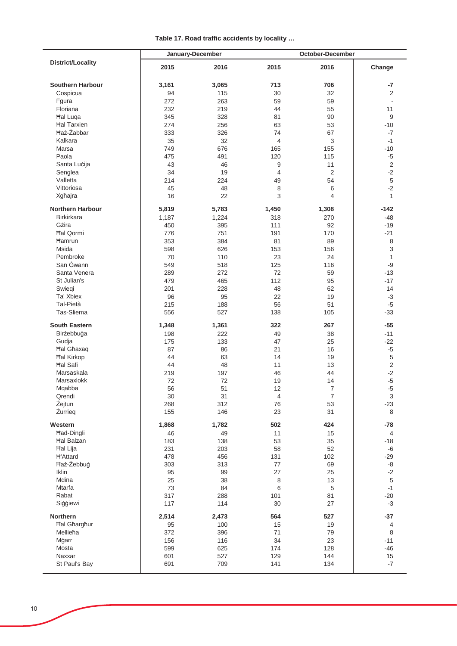**Table 17. Road traffic accidents by locality …**

|                          |       | January-December | October-December |                |                |  |
|--------------------------|-------|------------------|------------------|----------------|----------------|--|
| <b>District/Locality</b> | 2015  | 2016             | 2015             | 2016           | Change         |  |
| <b>Southern Harbour</b>  | 3,161 | 3,065            | 713              | 706            | -7             |  |
| Cospicua                 | 94    | 115              | 30               | 32             | $\overline{2}$ |  |
| Fgura                    | 272   | 263              | 59               | 59             | ÷              |  |
| Floriana                 | 232   | 219              | 44               | 55             | 11             |  |
| <b>Hal Luga</b>          | 345   | 328              | 81               | 90             | 9              |  |
| <b>Hal Tarxien</b>       | 274   | 256              | 63               | 53             | $-10$          |  |
| <b>Haż-Żabbar</b>        | 333   | 326              | 74               | 67             | $-7$           |  |
| Kalkara                  | 35    | 32               | 4                | 3              | $-1$           |  |
| Marsa                    | 749   | 676              | 165              | 155            | $-10$          |  |
| Paola                    | 475   | 491              | 120              | 115            | $-5$           |  |
| Santa Lucija             | 43    | 46               | 9                | 11             | $\overline{2}$ |  |
| Senglea                  | 34    | 19               | 4                | 2              | $-2$           |  |
| Valletta                 | 214   | 224              | 49               | 54             | 5              |  |
| Vittoriosa               | 45    | 48               | 8                | 6              | $-2$           |  |
| Xgħajra                  | 16    | 22               | 3                | $\overline{4}$ | $\mathbf{1}$   |  |
| <b>Northern Harbour</b>  | 5,819 | 5,783            | 1,450            | 1,308          | $-142$         |  |
| <b>Birkirkara</b>        | 1,187 | 1,224            | 318              | 270            | $-48$          |  |
| Gżira                    | 450   | 395              | 111              | 92             | $-19$          |  |
| <b>Hal Qormi</b>         | 776   | 751              | 191              | 170            | $-21$          |  |
| Hamrun                   | 353   | 384              | 81               | 89             | 8              |  |
| Msida                    | 598   | 626              | 153              | 156            | 3              |  |
| Pembroke                 | 70    | 110              | 23               | 24             | $\mathbf{1}$   |  |
| San Gwann                | 549   | 518              | 125              | 116            | $-9$           |  |
| Santa Venera             | 289   | 272              | 72               | 59             | $-13$          |  |
| St Julian's              | 479   | 465              | 112              | 95             | $-17$          |  |
| Swiegi                   | 201   | 228              | 48               | 62             | 14             |  |
| Ta' Xbiex                | 96    | 95               | 22               | 19             | $-3$           |  |
| Tal-Pietà                | 215   | 188              | 56               | 51             | $-5$           |  |
| Tas-Sliema               | 556   | 527              | 138              | 105            | $-33$          |  |
| <b>South Eastern</b>     | 1,348 | 1,361            | 322              | 267            | $-55$          |  |
| Birżebbuġa               | 198   | 222              | 49               | 38             | $-11$          |  |
| Gudja                    | 175   | 133              | 47               | 25             | $-22$          |  |
| <b>Hal Ghaxaq</b>        | 87    | 86               | 21               | 16             | $-5$           |  |
| <b>Hal Kirkop</b>        | 44    | 63               | 14               | 19             | 5              |  |
| <b>Hal Safi</b>          | 44    | 48               | 11               | 13             | $\sqrt{2}$     |  |
| Marsaskala               | 219   | 197              | 46               | 44             | $-2$           |  |
| Marsaxlokk               | 72    | 72               | 19               | 14             | $-5$           |  |
| Mqabba                   | 56    | 51               | 12               | $\overline{7}$ | $-5$           |  |
| Qrendi                   | 30    | 31               | 4                | $\overline{7}$ | 3              |  |
| Żejtun                   | 268   | 312              | 76               | 53             | $-23$          |  |
| Żurrieg                  | 155   | 146              | 23               | 31             | 8              |  |
| Western                  | 1,868 | 1,782            | 502              | 424            | $-78$          |  |
| Had-Dingli               | 46    | 49               | 11               | 15             | $\overline{4}$ |  |
| <b>Hal Balzan</b>        | 183   | 138              | 53               | 35             | $-18$          |  |
| Hal Lija                 | 231   | 203              | 58               | 52             | -6             |  |
| <b>H'Attard</b>          | 478   | 456              | 131              | 102            | $-29$          |  |
| Haż-Żebbuġ               | 303   | 313              | 77               | 69             | -8             |  |
| Iklin                    | 95    | 99               | 27               | 25             | $-2$           |  |
| Mdina                    | 25    | 38               | 8                | 13             | $\,$ 5 $\,$    |  |
| Mtarfa                   | 73    | 84               | 6                | 5              | $-1$           |  |
| Rabat                    | 317   | 288              | 101              | 81             | $-20$          |  |
| Siģģiewi                 | 117   | 114              | 30               | 27             | $-3$           |  |
| <b>Northern</b>          | 2,514 | 2,473            | 564              | 527            | $-37$          |  |
| <b>Hal Gharghur</b>      | 95    | 100              | 15               | 19             | $\overline{4}$ |  |
| Mellieħa                 | 372   | 396              | 71               | 79             | 8              |  |
| Mġarr                    | 156   | 116              | 34               | 23             | $-11$          |  |
| Mosta                    | 599   | 625              | 174              | 128            | -46            |  |
| Naxxar                   | 601   | 527              | 129              | 144            | 15             |  |
| St Paul's Bay            | 691   | 709              | 141              | 134            | $-7$           |  |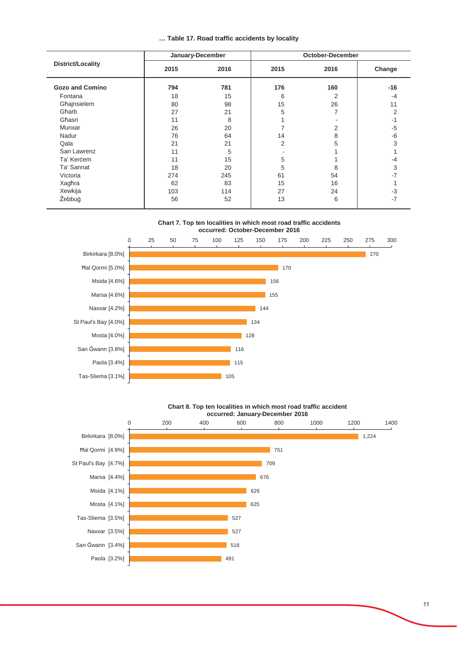|  |  |  |  |  | Table 17. Road traffic accidents by locality |  |  |
|--|--|--|--|--|----------------------------------------------|--|--|
|--|--|--|--|--|----------------------------------------------|--|--|

|                          |      | January-December |      | <b>October-December</b> |        |
|--------------------------|------|------------------|------|-------------------------|--------|
| <b>District/Locality</b> | 2015 | 2016             | 2015 | 2016                    | Change |
| <b>Gozo and Comino</b>   | 794  | 781              | 176  | 160                     | $-16$  |
| Fontana                  | 18   | 15               | 6    | 2                       | -4     |
| Għajnsielem              | 80   | 98               | 15   | 26                      | 11     |
| Għarb                    | 27   | 21               | 5    |                         | 2      |
| Għasri                   | 11   | 8                |      |                         | -1     |
| Munxar                   | 26   | 20               |      | 2                       | -5     |
| Nadur                    | 76   | 64               | 14   | 8                       | -6     |
| Qala                     | 21   | 21               | 2    | 5                       | 3      |
| San Lawrenz              | 11   | 5                |      |                         |        |
| Ta' Kercem               | 11   | 15               | 5    |                         | $-4$   |
| Ta' Sannat               | 18   | 20               | 5    | 8                       | 3      |
| Victoria                 | 274  | 245              | 61   | 54                      | $-7$   |
| Xagħra                   | 62   | 83               | 15   | 16                      |        |
| Xewkija                  | 103  | 114              | 27   | 24                      | -3     |
| Żebbuġ                   | 56   | 52               | 13   | 6                       | $-7$   |

**Chart 7. Top ten localities in which most road traffic accidents occurred: October-December 2016**